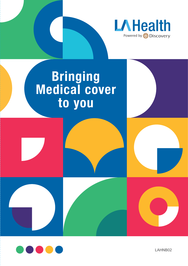

# Bringing Medical cover to you



LAHNB02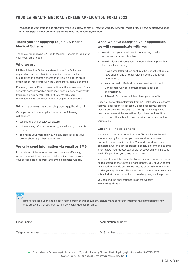# YOUR LA HEALTH MEDICAL SCHEME APPLICATION FORM 2022

*You need to complete this form in full when you apply to join LA Health Medical Scheme. Please tear off this section and keep it until you get further communication from us about your application*

## Thank you for applying to join LA Health Medical Scheme

Thank you for choosing LA Health Medical Scheme to look after your healthcare needs.

## Who we are

LA Health Medical Scheme (referred to as 'the Scheme'), registration number 1145, is the medical scheme that you are applying to become a member of. This is a not-for-profit organisation, registered with the Council for Medical Schemes.

Discovery Health (Pty) Ltd (referred to as 'the administrator') is a separate company and an authorised financial services provider (registration number 1997/013480/07). We take care of the administration of your membership for the Scheme.

## What happens next with your application?

Once you submit your application to us, the following will happen:

- We capture and check your details.
- If there is any information missing, we will call you or write to you.
- To finalise your membership, we may also speak to your broker about any other requirements.

## We only send information via email or SMS

In the interest of the environment, and to ensure efficiency, we no longer print and post some information. Please provide your personal email address and a valid cellphone number.

## When we have accepted your application, we will communicate with you

- We will SMS your membership number to you when we activate your membership.
- We will also send you a new member welcome pack that includes the following:
	- A welcome letter, which confirms the Benefit Option you have chosen and all other relevant details about your membership
	- Your LA Health Medical Scheme membership card
	- Car stickers with our contact details in case of an emergency
	- A Benefit Brochure, which outlines your benefits.

Once you get written notification from LA Health Medical Scheme that your application is successful, please cancel your current medical scheme membership, as it is illegal to belong to two medical schemes at the same time. If you have not heard from us seven days after submitting your application, please contact your broker.

## Chronic Illness Benefit

If you want to access cover from the Chronic Illness Benefit, you must apply for it when you have received your new LA Health membership number. You and your doctor must complete a Chronic Illness Benefit application form and submit it for review. Your doctor can apply for cover online, if he uses HealthID, provided you give your consent.

You need to meet the benefit entry criteria for your condition to be registered on the Chronic Illness Benefit. You or your doctor may need to provide certain test results or extra information to finalise your application. Please ensure that these documents are submitted with your application to avoid any delays in the process.

You can find the application form on the website www.lahealth.co.za

Before you send us the application form portion of this document, please make sure your employer has stamped it to show they are aware that you want to join LA Health Medical Scheme.

Accreditation number: ......

Telephone number: FAIS number:

LA Health Medical Scheme, registration number 1145, is administered by Discovery Health (Pty) Ltd, registration number 1997/013480/07.

Discovery Health (Pty) Ltd is an authorised financial services provider.  $\bullet$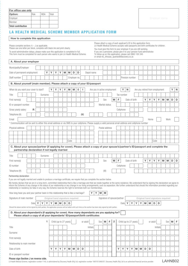| For office use only       |             |     |       |
|---------------------------|-------------|-----|-------|
| Option:                   | <b>Risk</b> | MSA | Total |
| Employer                  |             |     |       |
| Member                    |             |     |       |
| <b>Total contribution</b> |             |     |       |

# LA HEALTH MEDICAL SCHEME MEMBER APPLICATION FORM

## How to complete this application

Please complete sections A – J as applicable.

Please use one letter per block, complete with black ink and print clearly.

To avoid administration delays, please make sure this application is completed in full. This form must be completed for each person who wants to join LA Health Medical Scheme. Please attach a copy of each applicant's ID to this application form.

LA Health Medical Scheme accepts valid passports and birth certificates for children. You must give this form to your employer if you are still working. If you are a pensioner, please give it to your pension fund administrator.

To follow up on this application, please call 0860 100 345 or email nb\_inhouse\_queries@discovery.co.za

| A. About your employer                                                                                                                                                                                                                                                                                                                     |                                                                             |             |   |         |   |                                  |                |   |                        |      |              |   |     |          |            |                              |   |                |                             |                |   |            |   |                        |   |                                 |                |      |          |          |   |                                  |   |    |
|--------------------------------------------------------------------------------------------------------------------------------------------------------------------------------------------------------------------------------------------------------------------------------------------------------------------------------------------|-----------------------------------------------------------------------------|-------------|---|---------|---|----------------------------------|----------------|---|------------------------|------|--------------|---|-----|----------|------------|------------------------------|---|----------------|-----------------------------|----------------|---|------------|---|------------------------|---|---------------------------------|----------------|------|----------|----------|---|----------------------------------|---|----|
| Municipality/Employer                                                                                                                                                                                                                                                                                                                      |                                                                             |             |   |         |   |                                  |                |   |                        |      |              |   |     |          |            |                              |   |                |                             |                |   |            |   |                        |   |                                 |                |      |          |          |   |                                  |   |    |
| Date of permanent employment                                                                                                                                                                                                                                                                                                               |                                                                             |             |   |         | Y | Υ                                | Υ              | Y | M                      | M    | D            | D |     |          | Depot name |                              |   |                |                             |                |   |            |   |                        |   |                                 |                |      |          |          |   |                                  |   |    |
| Staff number                                                                                                                                                                                                                                                                                                                               |                                                                             |             |   |         |   |                                  |                |   |                        |      | Employer no. |   |     |          |            |                              |   |                |                             |                |   |            |   | Pension number         |   |                                 |                |      |          |          |   |                                  |   |    |
| B. About yourself (main member). Please attach a copy of your ID/passport                                                                                                                                                                                                                                                                  |                                                                             |             |   |         |   |                                  |                |   |                        |      |              |   |     |          |            |                              |   |                |                             |                |   |            |   |                        |   |                                 |                |      |          |          |   |                                  |   |    |
| When do you want your cover to start?                                                                                                                                                                                                                                                                                                      |                                                                             |             |   |         |   | Y                                | Y              | Y | Y                      | M    | M            | 0 | 1.  |          |            | Are you in active employment |   |                |                             |                |   | Y          | N |                        |   | Are you retired from employment |                |      |          |          |   |                                  | Y | N  |
| Title                                                                                                                                                                                                                                                                                                                                      |                                                                             |             |   | Surname |   |                                  |                |   |                        |      |              |   |     |          |            |                              |   |                |                             |                |   | Tax number |   |                        |   |                                 |                |      |          |          |   |                                  |   |    |
| First name(s)                                                                                                                                                                                                                                                                                                                              |                                                                             |             |   |         |   |                                  |                |   |                        |      |              |   |     |          |            |                              |   | Sex            |                             | М              | F |            |   | Date of birth          |   |                                 | Y              | Y    | Y        | Y        | M | М                                | D | D  |
| ID or passport number                                                                                                                                                                                                                                                                                                                      |                                                                             |             |   |         |   |                                  |                |   |                        |      |              |   |     |          |            |                              |   | Marital status |                             |                |   |            |   |                        |   |                                 |                |      |          |          |   |                                  |   |    |
| Gross yearly salary                                                                                                                                                                                                                                                                                                                        |                                                                             | R           |   |         |   |                                  |                |   |                        |      |              |   |     |          |            |                              |   |                |                             |                |   | Cellphone  |   |                        |   |                                 |                |      |          |          |   |                                  |   |    |
| Telephone (H)                                                                                                                                                                                                                                                                                                                              |                                                                             |             |   |         |   |                                  |                |   |                        |      |              |   | (W) |          |            |                              |   |                |                             |                |   |            |   |                        |   |                                 |                |      |          |          |   |                                  |   |    |
| Email                                                                                                                                                                                                                                                                                                                                      |                                                                             |             |   |         |   |                                  |                |   |                        |      |              |   |     |          |            |                              |   |                |                             |                |   |            |   |                        |   |                                 |                | Home |          |          |   | Work                             |   |    |
| * Communication will be sent to either this email address or via SMS to your cellphone. Please supply a valid personal email address and cellphone number                                                                                                                                                                                  |                                                                             |             |   |         |   |                                  |                |   |                        |      |              |   |     |          |            |                              |   |                |                             |                |   |            |   |                        |   |                                 |                |      |          |          |   |                                  |   |    |
| Physical address                                                                                                                                                                                                                                                                                                                           |                                                                             |             |   |         |   |                                  |                |   |                        |      |              |   |     |          |            |                              |   |                | Postal address              |                |   |            |   |                        |   |                                 |                |      |          |          |   |                                  |   |    |
|                                                                                                                                                                                                                                                                                                                                            |                                                                             |             |   |         |   |                                  |                |   |                        |      |              |   |     |          |            |                              |   |                |                             |                |   |            |   |                        |   |                                 |                |      |          |          |   |                                  |   |    |
|                                                                                                                                                                                                                                                                                                                                            |                                                                             |             |   |         |   |                                  |                |   |                        | Code |              |   |     |          |            |                              |   |                |                             |                |   |            |   |                        |   |                                 |                |      | Code     |          |   |                                  |   |    |
| C. About your spouse/partner (if applying for cover). Please attach a copy of your spouse's/partner's ID/passport and complete the                                                                                                                                                                                                         |                                                                             |             |   |         |   |                                  |                |   |                        |      |              |   |     |          |            |                              |   |                |                             |                |   |            |   |                        |   |                                 |                |      |          |          |   |                                  |   |    |
|                                                                                                                                                                                                                                                                                                                                            | partnership declaration if not legally married                              |             |   |         |   |                                  |                |   |                        |      |              |   |     |          |            |                              |   |                |                             |                |   |            |   |                        |   |                                 |                |      |          |          |   |                                  |   |    |
| Title                                                                                                                                                                                                                                                                                                                                      |                                                                             |             |   | Surname |   |                                  |                |   |                        |      |              |   |     |          |            |                              |   |                |                             |                |   |            |   |                        |   |                                 |                |      |          |          |   |                                  |   |    |
| First name(s)                                                                                                                                                                                                                                                                                                                              |                                                                             |             |   |         |   |                                  |                |   |                        |      |              |   |     |          |            |                              |   | Sex            |                             | M              | F |            |   | Date of birth          |   |                                 | Y              | Y    | Υ        | Υ        | M | M                                | D | D  |
| ID number                                                                                                                                                                                                                                                                                                                                  |                                                                             |             |   |         |   |                                  |                |   |                        |      |              |   |     |          |            |                              |   |                |                             |                |   | Cellphone  |   |                        |   |                                 |                |      |          |          |   |                                  |   |    |
| Telephone (H)                                                                                                                                                                                                                                                                                                                              |                                                                             |             |   |         |   |                                  |                |   |                        |      |              |   |     |          |            |                              |   | (W)            |                             |                |   |            |   |                        |   |                                 |                |      |          |          |   |                                  |   |    |
| Partnership declaration                                                                                                                                                                                                                                                                                                                    |                                                                             |             |   |         |   |                                  |                |   |                        |      |              |   |     |          |            |                              |   |                |                             |                |   |            |   |                        |   |                                 |                |      |          |          |   |                                  |   |    |
| If you are not legally married and unable to produce a marriage certificate, we require that you complete the section below.<br>We hereby declare that we are in a long-term, committed relationship that is like a marriage and that we reside together at the same residence. We understand that by signing this declaration we agree to |                                                                             |             |   |         |   |                                  |                |   |                        |      |              |   |     |          |            |                              |   |                |                             |                |   |            |   |                        |   |                                 |                |      |          |          |   |                                  |   |    |
| inform the Scheme of any change in the status of our relationship or any change in our living arrangements, such as separation. We further understand that should the information provided regarding our                                                                                                                                   |                                                                             |             |   |         |   |                                  |                |   |                        |      |              |   |     |          |            |                              |   |                |                             |                |   |            |   |                        |   |                                 |                |      |          |          |   |                                  |   |    |
| relationship or residency be false in any way, the Scheme reserves the right to terminate both our memberships.                                                                                                                                                                                                                            |                                                                             |             |   |         |   |                                  |                |   |                        |      |              |   |     |          |            |                              |   |                |                             |                |   |            |   |                        |   |                                 |                |      |          |          |   |                                  |   |    |
| How long have you and your partner been in this relationship that is like a marriage?                                                                                                                                                                                                                                                      |                                                                             |             |   |         |   |                                  |                |   |                        |      |              |   |     |          | Y          | Y                            | М | M              |                             |                |   |            |   |                        |   |                                 |                |      |          |          |   |                                  |   |    |
| Signature of main member                                                                                                                                                                                                                                                                                                                   |                                                                             |             |   |         |   | Original hand signature required |                |   |                        |      |              |   |     |          |            |                              |   |                | Signature of spouse/partner |                |   |            |   |                        |   |                                 |                |      |          |          |   | Original hand signature required |   |    |
| Should the above section not be signed by both parties, the application process will be halted until such time as the section has been duly signed by both parties.                                                                                                                                                                        |                                                                             | <b>Date</b> | Υ | Y       | Y | Y                                | M <sub>1</sub> | M | D                      | D    |              |   |     |          |            |                              |   |                |                             |                |   | Date       | Y | Y                      | Υ | Y                               | M <sub>1</sub> | M    | D        | D        |   |                                  |   |    |
| D. About your dependant/s (if applying for cover). How many dependants are you applying for?                                                                                                                                                                                                                                               |                                                                             |             |   |         |   |                                  |                |   |                        |      |              |   |     |          |            |                              |   |                |                             |                |   |            |   |                        |   |                                 |                |      |          |          |   |                                  |   |    |
|                                                                                                                                                                                                                                                                                                                                            | Please attach a copy of all your dependants' ID/passport/birth certificates |             |   |         |   |                                  |                |   |                        |      |              |   |     |          |            |                              |   |                |                             |                |   |            |   |                        |   |                                 |                |      |          |          |   |                                  |   |    |
|                                                                                                                                                                                                                                                                                                                                            |                                                                             |             |   |         | 1 |                                  |                |   | Child (up to 27 years) |      |              |   |     | or adult |            |                              |   | Sex   M        | F                           | $\overline{2}$ |   |            |   | Child (up to 27 years) |   |                                 |                |      | or adult |          |   | Sex                              | M | -F |
| Title                                                                                                                                                                                                                                                                                                                                      |                                                                             |             |   |         |   |                                  |                |   |                        |      |              |   |     |          | Initials   |                              |   |                |                             |                |   |            |   |                        |   |                                 |                |      |          | Initials |   |                                  |   |    |
| Surname                                                                                                                                                                                                                                                                                                                                    |                                                                             |             |   |         |   |                                  |                |   |                        |      |              |   |     |          |            |                              |   |                |                             |                |   |            |   |                        |   |                                 |                |      |          |          |   |                                  |   |    |
| First name(s)                                                                                                                                                                                                                                                                                                                              |                                                                             |             |   |         |   |                                  |                |   |                        |      |              |   |     |          |            |                              |   |                |                             |                |   |            |   |                        |   |                                 |                |      |          |          |   |                                  |   |    |
| Relationship to main member                                                                                                                                                                                                                                                                                                                |                                                                             |             |   |         |   |                                  |                |   |                        |      |              |   |     |          |            |                              |   |                |                             |                |   |            |   |                        |   |                                 |                |      |          |          |   |                                  |   |    |
| Date of birth                                                                                                                                                                                                                                                                                                                              |                                                                             |             |   |         |   | Y                                | Y              | Υ | Υ                      | М    | M            | D | D   |          |            |                              |   |                |                             |                | Y | Υ          | Y | Y                      | M | M                               | D              | D    |          |          |   |                                  |   |    |
| ID or passport number                                                                                                                                                                                                                                                                                                                      |                                                                             |             |   |         |   |                                  |                |   |                        |      |              |   |     |          |            |                              |   |                |                             |                |   |            |   |                        |   |                                 |                |      |          |          |   |                                  |   |    |
| Please sign Section J on reverse side.                                                                                                                                                                                                                                                                                                     |                                                                             |             |   |         |   |                                  |                |   |                        |      |              |   |     |          |            |                              |   |                |                             |                |   |            |   |                        |   |                                 |                |      |          |          |   |                                  |   |    |

LA Health Medical Scheme, registration number 1145, is administered by Discovery Health (Pty) Ltd, registration number 1997/013480/07. Discovery Health (Pty) Ltd is an authorised financial services provider.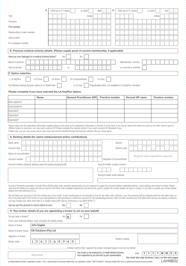| 3                                                                                                                                                                                                                                                                                                                                                                                                                                                                                                                                        |   |           |   | Child (up to 27 years) |                |   |                  |    | or adult                         |          |   | Sex                                                                           |   | 4                             |               | Child (up to 27 years) |                       |   |   |   |   | or adult |          |  | Sex                              |  |  |
|------------------------------------------------------------------------------------------------------------------------------------------------------------------------------------------------------------------------------------------------------------------------------------------------------------------------------------------------------------------------------------------------------------------------------------------------------------------------------------------------------------------------------------------|---|-----------|---|------------------------|----------------|---|------------------|----|----------------------------------|----------|---|-------------------------------------------------------------------------------|---|-------------------------------|---------------|------------------------|-----------------------|---|---|---|---|----------|----------|--|----------------------------------|--|--|
| Title                                                                                                                                                                                                                                                                                                                                                                                                                                                                                                                                    |   |           |   |                        |                |   |                  |    |                                  | Initials |   |                                                                               |   |                               |               |                        |                       |   |   |   |   |          | Initials |  |                                  |  |  |
| Surname                                                                                                                                                                                                                                                                                                                                                                                                                                                                                                                                  |   |           |   |                        |                |   |                  |    |                                  |          |   |                                                                               |   |                               |               |                        |                       |   |   |   |   |          |          |  |                                  |  |  |
| First name(s)                                                                                                                                                                                                                                                                                                                                                                                                                                                                                                                            |   |           |   |                        |                |   |                  |    |                                  |          |   |                                                                               |   |                               |               |                        |                       |   |   |   |   |          |          |  |                                  |  |  |
|                                                                                                                                                                                                                                                                                                                                                                                                                                                                                                                                          |   |           |   |                        |                |   |                  |    |                                  |          |   |                                                                               |   |                               |               |                        |                       |   |   |   |   |          |          |  |                                  |  |  |
| Relationship to main member                                                                                                                                                                                                                                                                                                                                                                                                                                                                                                              |   |           |   |                        |                |   |                  |    |                                  |          |   |                                                                               |   |                               |               |                        |                       |   |   |   |   |          |          |  |                                  |  |  |
| Date of birth                                                                                                                                                                                                                                                                                                                                                                                                                                                                                                                            |   |           |   |                        | M              | M | D                | D  |                                  |          |   |                                                                               |   |                               |               |                        |                       | M | M | D | D |          |          |  |                                  |  |  |
| ID or passport number                                                                                                                                                                                                                                                                                                                                                                                                                                                                                                                    |   |           |   |                        |                |   |                  |    |                                  |          |   |                                                                               |   |                               |               |                        |                       |   |   |   |   |          |          |  |                                  |  |  |
| E. Previous medical scheme details. (Please supply proof of current membership, if applicable)                                                                                                                                                                                                                                                                                                                                                                                                                                           |   |           |   |                        |                |   |                  |    |                                  |          |   |                                                                               |   |                               |               |                        |                       |   |   |   |   |          |          |  |                                  |  |  |
| Have you ever belonged to a medical scheme before?                                                                                                                                                                                                                                                                                                                                                                                                                                                                                       |   |           |   | Yes                    |                |   |                  | No |                                  |          |   |                                                                               |   |                               |               |                        |                       |   |   |   |   |          |          |  |                                  |  |  |
| Name of scheme                                                                                                                                                                                                                                                                                                                                                                                                                                                                                                                           |   |           |   |                        |                |   |                  |    |                                  |          |   |                                                                               |   |                               |               |                        |                       |   |   |   |   |          |          |  |                                  |  |  |
|                                                                                                                                                                                                                                                                                                                                                                                                                                                                                                                                          |   |           |   |                        |                |   |                  |    |                                  |          |   |                                                                               |   |                               |               |                        | Membership number     |   |   |   |   |          |          |  |                                  |  |  |
| Date of joining<br>M                                                                                                                                                                                                                                                                                                                                                                                                                                                                                                                     | M | D         |   |                        | to             |   | Υ                | Y  |                                  |          | M | M                                                                             | D |                               |               |                        | or currently a member |   |   |   |   |          |          |  |                                  |  |  |
| F. Option selection                                                                                                                                                                                                                                                                                                                                                                                                                                                                                                                      |   |           |   |                        |                |   |                  |    |                                  |          |   |                                                                               |   |                               |               |                        |                       |   |   |   |   |          |          |  |                                  |  |  |
| LA Focus<br>1. LA KeyPlus                                                                                                                                                                                                                                                                                                                                                                                                                                                                                                                |   | LA Active |   |                        |                |   | LA Comprehensive |    |                                  |          |   | LA Core                                                                       |   |                               |               |                        |                       |   |   |   |   |          |          |  |                                  |  |  |
| Pay Medical Savings Account claims at LA Health Rate                                                                                                                                                                                                                                                                                                                                                                                                                                                                                     |   |           |   |                        |                |   | or at Cost       |    |                                  |          |   | (if applicable) Note: not available to LA KeyPlus members.                    |   |                               |               |                        |                       |   |   |   |   |          |          |  |                                  |  |  |
| Please complete if you have selected the LA KeyPlus Option.                                                                                                                                                                                                                                                                                                                                                                                                                                                                              |   |           |   |                        |                |   |                  |    |                                  |          |   |                                                                               |   |                               |               |                        |                       |   |   |   |   |          |          |  |                                  |  |  |
|                                                                                                                                                                                                                                                                                                                                                                                                                                                                                                                                          |   |           |   |                        |                |   |                  |    |                                  |          |   |                                                                               |   |                               |               |                        |                       |   |   |   |   |          |          |  |                                  |  |  |
| <b>Name</b><br>Main applicant                                                                                                                                                                                                                                                                                                                                                                                                                                                                                                            |   |           |   |                        |                |   |                  |    | <b>General Practitioner (GP)</b> |          |   |                                                                               |   | <b>Practice number</b>        |               |                        | <b>Second GP name</b> |   |   |   |   |          |          |  | <b>Practice number</b>           |  |  |
| Spouse/partner                                                                                                                                                                                                                                                                                                                                                                                                                                                                                                                           |   |           |   |                        |                |   |                  |    |                                  |          |   |                                                                               |   |                               |               |                        |                       |   |   |   |   |          |          |  |                                  |  |  |
| Dependant*                                                                                                                                                                                                                                                                                                                                                                                                                                                                                                                               |   |           |   |                        |                |   |                  |    |                                  |          |   |                                                                               |   |                               |               |                        |                       |   |   |   |   |          |          |  |                                  |  |  |
| Dependant*                                                                                                                                                                                                                                                                                                                                                                                                                                                                                                                               |   |           |   |                        |                |   |                  |    |                                  |          |   |                                                                               |   |                               |               |                        |                       |   |   |   |   |          |          |  |                                  |  |  |
| Dependant*                                                                                                                                                                                                                                                                                                                                                                                                                                                                                                                               |   |           |   |                        |                |   |                  |    |                                  |          |   |                                                                               |   |                               |               |                        |                       |   |   |   |   |          |          |  |                                  |  |  |
| Please make sure the dependant information supplied above is the same as the dependant information in Section D of this form. If you live far away from where you work or you often need to work in<br>different towns or provinces, you may need a second GP. Please complete the relevant section if you need a second GP allocated to you.<br>Please note: you can only access day-to-day cover and chronic benefits through the KeyCare network GPs you chose above.                                                                 |   |           |   |                        |                |   |                  |    |                                  |          |   |                                                                               |   |                               |               |                        |                       |   |   |   |   |          |          |  |                                  |  |  |
| G. Banking details (for claims reimbursement and/or contributions)                                                                                                                                                                                                                                                                                                                                                                                                                                                                       |   |           |   |                        |                |   |                  |    |                                  |          |   |                                                                               |   |                               |               |                        |                       |   |   |   |   |          |          |  |                                  |  |  |
| Bank name                                                                                                                                                                                                                                                                                                                                                                                                                                                                                                                                |   |           |   |                        |                |   |                  |    |                                  |          |   |                                                                               |   |                               | <b>Branch</b> |                        |                       |   |   |   |   |          |          |  |                                  |  |  |
| Account type                                                                                                                                                                                                                                                                                                                                                                                                                                                                                                                             |   |           |   |                        |                |   |                  |    |                                  |          |   |                                                                               |   |                               |               | Branch code            |                       |   |   |   |   |          |          |  |                                  |  |  |
| Name of accountholder                                                                                                                                                                                                                                                                                                                                                                                                                                                                                                                    |   |           |   |                        |                |   |                  |    |                                  |          |   |                                                                               |   |                               |               |                        |                       |   |   |   |   |          |          |  |                                  |  |  |
| Account number                                                                                                                                                                                                                                                                                                                                                                                                                                                                                                                           |   |           |   |                        |                |   |                  |    |                                  |          |   |                                                                               |   | Signature of accountholder    |               |                        |                       |   |   |   |   |          |          |  | Original hand signature required |  |  |
| Account holder's physical address (own/3rd party/company/trust)                                                                                                                                                                                                                                                                                                                                                                                                                                                                          |   |           |   |                        |                |   |                  |    |                                  |          |   |                                                                               |   | Account holder contact number |               |                        |                       |   |   |   |   |          |          |  |                                  |  |  |
|                                                                                                                                                                                                                                                                                                                                                                                                                                                                                                                                          |   |           |   |                        |                |   |                  |    |                                  |          |   |                                                                               |   |                               |               |                        |                       |   |   |   |   |          |          |  |                                  |  |  |
|                                                                                                                                                                                                                                                                                                                                                                                                                                                                                                                                          |   |           |   |                        |                |   |                  |    |                                  |          |   |                                                                               |   | Account holder email address  |               |                        |                       |   |   |   |   |          |          |  |                                  |  |  |
|                                                                                                                                                                                                                                                                                                                                                                                                                                                                                                                                          |   |           |   |                        |                |   |                  |    |                                  |          |   |                                                                               |   |                               |               |                        |                       |   |   |   |   |          |          |  |                                  |  |  |
| As part of Payment association of South Africa (PASA) debit order mandate requirements you are required to supply the account holders residential address, email address and contact number. Please<br>note that the details you supply will only be used for the PASA order mandate requirement and will not be used to update the contact details we have on system, If you wish to update any contact details<br>please visit www.discovery.co.za                                                                                     |   |           |   |                        |                |   |                  |    |                                  |          |   |                                                                               |   |                               |               |                        |                       |   |   |   |   |          |          |  |                                  |  |  |
| We will debit your account on the first working day of the month. If your membership is not activated in time for the debit order collection, your first premium will be collected with the next debit order un-<br>less it has been paid in the interim or you have granted us with permission to debit your account for the outstanding premium. After we have received your first debit order and you are paying in advance,<br>you may change your debit order date to a variable debit order date by contacting us on 0860 99 88 77 |   |           |   |                        |                |   |                  |    |                                  |          |   |                                                                               |   |                               |               |                        |                       |   |   |   |   |          |          |  |                                  |  |  |
| Can we use this account to refund claims to you?                                                                                                                                                                                                                                                                                                                                                                                                                                                                                         |   |           |   | Yes                    |                |   |                  | No |                                  |          |   |                                                                               |   |                               |               |                        |                       |   |   |   |   |          |          |  |                                  |  |  |
| H. Your broker details (if you are appointing a broker to act on your behalf)                                                                                                                                                                                                                                                                                                                                                                                                                                                            |   |           |   |                        |                |   |                  |    |                                  |          |   |                                                                               |   |                               |               |                        |                       |   |   |   |   |          |          |  |                                  |  |  |
| Do you have a broker?                                                                                                                                                                                                                                                                                                                                                                                                                                                                                                                    |   |           |   | Yes                    | $\mathsf{x}$   |   |                  | No |                                  |          |   |                                                                               |   |                               |               |                        |                       |   |   |   |   |          |          |  |                                  |  |  |
| If yes, your financial adviser must complete the details below.                                                                                                                                                                                                                                                                                                                                                                                                                                                                          |   |           |   |                        |                |   |                  |    |                                  |          |   |                                                                               |   |                               |               |                        |                       |   |   |   |   |          |          |  |                                  |  |  |
| Name of broker<br>John Eagles                                                                                                                                                                                                                                                                                                                                                                                                                                                                                                            |   |           |   |                        |                |   |                  |    |                                  |          |   |                                                                               |   |                               |               |                        |                       |   |   |   |   |          |          |  |                                  |  |  |
| EB Solutions (Pty) Ltd<br>Name of broker house                                                                                                                                                                                                                                                                                                                                                                                                                                                                                           |   |           |   |                        |                |   |                  |    |                                  |          |   |                                                                               |   |                               |               |                        |                       |   |   |   |   |          |          |  |                                  |  |  |
| Signature of broker                                                                                                                                                                                                                                                                                                                                                                                                                                                                                                                      |   |           |   |                        |                |   |                  |    |                                  |          |   |                                                                               |   |                               |               |                        |                       |   |   |   |   |          |          |  |                                  |  |  |
| 3<br>1<br>0<br>4<br>Broker code                                                                                                                                                                                                                                                                                                                                                                                                                                                                                                          |   |           |   |                        |                |   |                  |    |                                  |          |   |                                                                               |   |                               |               |                        |                       |   |   |   |   |          |          |  |                                  |  |  |
|                                                                                                                                                                                                                                                                                                                                                                                                                                                                                                                                          | 0 | 4         | 8 | 9                      | $\overline{4}$ | 9 |                  |    |                                  |          |   |                                                                               |   |                               |               | Broker's stamp         |                       |   |   |   |   |          |          |  |                                  |  |  |
|                                                                                                                                                                                                                                                                                                                                                                                                                                                                                                                                          |   |           |   |                        |                |   |                  |    |                                  |          |   | hereby confirm that I appoint the broker indicated above to act on my behalf. |   |                               |               |                        |                       |   |   |   |   |          |          |  |                                  |  |  |

LAHNB02

LA Health Medical Scheme, registration number 1145, is administered by Discovery Health (Pty) Ltd, registration number 1997/013480/07. Discovery Health (Pty) Ltd is an authorised financial services provider.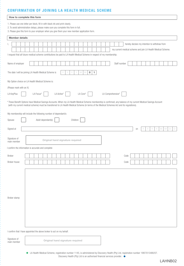# CONFIRMATION OF JOINING LA HEALTH MEDICAL SCHEME

| How to complete this form   |  |  |  |           |                                                        |                                                                                                                                                                                                                                                                                                                   |  |  |          |   |          |   |              |  |  |  |                                                              |      |  |    |  |  |                                              |   |   |   |   |   |
|-----------------------------|--|--|--|-----------|--------------------------------------------------------|-------------------------------------------------------------------------------------------------------------------------------------------------------------------------------------------------------------------------------------------------------------------------------------------------------------------|--|--|----------|---|----------|---|--------------|--|--|--|--------------------------------------------------------------|------|--|----|--|--|----------------------------------------------|---|---|---|---|---|
|                             |  |  |  |           |                                                        | 1. Please use one letter per block, fill in with black ink and print clearly.<br>2. To avoid administration delays, please make sure you complete this form in full.<br>3. Please give this form to your employer when you give them your new member application form.                                            |  |  |          |   |          |   |              |  |  |  |                                                              |      |  |    |  |  |                                              |   |   |   |   |   |
| <b>Member details</b>       |  |  |  |           |                                                        |                                                                                                                                                                                                                                                                                                                   |  |  |          |   |          |   |              |  |  |  |                                                              |      |  |    |  |  |                                              |   |   |   |   |   |
|                             |  |  |  |           |                                                        |                                                                                                                                                                                                                                                                                                                   |  |  |          |   |          |   |              |  |  |  |                                                              |      |  |    |  |  | hereby declare my intention to withdraw from |   |   |   |   |   |
|                             |  |  |  |           |                                                        |                                                                                                                                                                                                                                                                                                                   |  |  |          |   |          |   |              |  |  |  | my current medical scheme and join LA Health Medical Scheme. |      |  |    |  |  |                                              |   |   |   |   |   |
|                             |  |  |  |           |                                                        | I request that all future medical scheme contributions be paid to LA Health Medical Scheme in respect of my membership.                                                                                                                                                                                           |  |  |          |   |          |   |              |  |  |  |                                                              |      |  |    |  |  |                                              |   |   |   |   |   |
| Name of employer            |  |  |  |           |                                                        |                                                                                                                                                                                                                                                                                                                   |  |  |          |   |          |   |              |  |  |  | Staff number                                                 |      |  |    |  |  |                                              |   |   |   |   |   |
|                             |  |  |  |           | The date I will be joining LA Health Medical Scheme is |                                                                                                                                                                                                                                                                                                                   |  |  |          | M | M        | 0 | $\mathbf{1}$ |  |  |  |                                                              |      |  |    |  |  |                                              |   |   |   |   |   |
|                             |  |  |  |           | My Option choice on LA Health Medical Scheme is:       |                                                                                                                                                                                                                                                                                                                   |  |  |          |   |          |   |              |  |  |  |                                                              |      |  |    |  |  |                                              |   |   |   |   |   |
| (Please mark with an X)     |  |  |  |           |                                                        |                                                                                                                                                                                                                                                                                                                   |  |  |          |   |          |   |              |  |  |  |                                                              |      |  |    |  |  |                                              |   |   |   |   |   |
| LA KeyPlus                  |  |  |  | LA Focus* |                                                        | LA Active*                                                                                                                                                                                                                                                                                                        |  |  |          |   | LA Core* |   |              |  |  |  | LA Comprehensive*                                            |      |  |    |  |  |                                              |   |   |   |   |   |
|                             |  |  |  |           |                                                        | * These Benefit Options have Medical Savings Accounts. When my LA Health Medical Scheme membership is confirmed, any balance of my current Medical Savings Account<br>(with my current medical scheme) must be transferred to LA Health Medical Scheme (in terms of the Medical Schemes Act and its regulations). |  |  |          |   |          |   |              |  |  |  |                                                              |      |  |    |  |  |                                              |   |   |   |   |   |
|                             |  |  |  |           |                                                        | My membership will include the following number of dependant/s:                                                                                                                                                                                                                                                   |  |  |          |   |          |   |              |  |  |  |                                                              |      |  |    |  |  |                                              |   |   |   |   |   |
| Spouse                      |  |  |  |           | Adult dependant(s)                                     |                                                                                                                                                                                                                                                                                                                   |  |  | Children |   |          |   |              |  |  |  |                                                              |      |  |    |  |  |                                              |   |   |   |   |   |
| Signed at                   |  |  |  |           |                                                        |                                                                                                                                                                                                                                                                                                                   |  |  |          |   |          |   |              |  |  |  |                                                              |      |  | on |  |  |                                              | Y | M | M | D | D |
| Signature of<br>main member |  |  |  |           |                                                        | Original hand signature required                                                                                                                                                                                                                                                                                  |  |  |          |   |          |   |              |  |  |  |                                                              |      |  |    |  |  |                                              |   |   |   |   |   |
|                             |  |  |  |           | I confirm the information is accurate and complete     |                                                                                                                                                                                                                                                                                                                   |  |  |          |   |          |   |              |  |  |  |                                                              |      |  |    |  |  |                                              |   |   |   |   |   |
| <b>Broker</b>               |  |  |  |           |                                                        |                                                                                                                                                                                                                                                                                                                   |  |  |          |   |          |   |              |  |  |  |                                                              | Code |  |    |  |  |                                              |   |   |   |   |   |
| Broker house                |  |  |  |           |                                                        |                                                                                                                                                                                                                                                                                                                   |  |  |          |   |          |   |              |  |  |  |                                                              | Code |  |    |  |  |                                              |   |   |   |   |   |
|                             |  |  |  |           |                                                        |                                                                                                                                                                                                                                                                                                                   |  |  |          |   |          |   |              |  |  |  |                                                              |      |  |    |  |  |                                              |   |   |   |   |   |
| Broker stamp                |  |  |  |           |                                                        |                                                                                                                                                                                                                                                                                                                   |  |  |          |   |          |   |              |  |  |  |                                                              |      |  |    |  |  |                                              |   |   |   |   |   |
|                             |  |  |  |           |                                                        | I confirm that I have appointed the above broker to act on my behalf.                                                                                                                                                                                                                                             |  |  |          |   |          |   |              |  |  |  |                                                              |      |  |    |  |  |                                              |   |   |   |   |   |
|                             |  |  |  |           |                                                        |                                                                                                                                                                                                                                                                                                                   |  |  |          |   |          |   |              |  |  |  |                                                              |      |  |    |  |  |                                              |   |   |   |   |   |

Signature of main member

Original hand signature required

LA Health Medical Scheme, registration number 1145, is administered by Discovery Health (Pty) Ltd, registration number 1997/013480/07.

Discovery Health (Pty) Ltd is an authorised financial services provider.  $\bullet$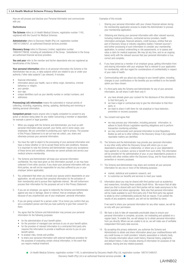#### I. LA Health Medical Scheme Privacy Statement

How we will process and disclose your Personal Information and communicate with you

#### Definitions

The Scheme refers to LA Health Medical Scheme, registration number 1145, registered with the Council for Medical Schemes.

Administrator refers to Discovery Health (Pty) Ltd, registration number 1997/013480/07, an authorised financial services provider.

**Discovery Group** refers to Discovery Limited, registration number 1999/007789/06, including all subsidiaries of the Group. Subsidiaries in the Group are authorised financial services providers.

You and your refer to the member and his/her dependants who are registered as beneficiaries of the Scheme.

Your personal information refers to all personal information the Scheme or the Administrator has on you, or data subjects which are related to you or under your authority ("other data subjects") (as relevant). It includes:

- financial information:
- information about your health, race or ethnic origin, biometrics, criminal behaviour or religion;
- your gender;
- your age;
- unique identifiers such as your identity number or contact numbers; and • addresses.

Process(ing) (of) information means the automated or manual activity of collecting, recording, organising, storing, updating, distributing and removing or deleting personal information.

**Competent person** means anyone who is legally competent to consent to any action or decision being taken for any matter concerning a member or dependant, for example a parent or legal guardian.

- 1. When you engage with the Scheme and Administrator, you trust us with personal information about yourself, your family, and in some cases, your employees. We are committed to protecting your right to privacy. The purpose of this Privacy Statement is to set out how we collect, use, share and otherwise process your personal information.
- 2. You have the right to object to the processing of your personal information and have a choice whether or not to accept these terms and conditions. However, it is important to note the Scheme and Administrator require your acceptance of these terms and conditions, otherwise we cannot activate and service your medical scheme membership.
- 3. The Scheme and Administrator will keep your personal information confidential. You may have given us this information yourself, or we may have collected it from other sources. If you share your personal information with any third parties, we will not be responsible for any loss suffered by you or your employer (where applicable).
- 4. You understand that when you include your spouse and/or dependents on your application, we will process their personal information for the activation of their membership and to pursue their legitimate interest. We will furthermore process their information for the purposes set out in this Privacy Statement.
- 5. If you are an employer, you agree to indemnify the Scheme and Administrator against any loss or damage, direct or indirect, that an employee suffers because of any unauthorized use of your employees' personal information.
- 6. If you are giving consent for a person under 18 (a minor) you confirm that you are a competent person and that you have authority to give their consent for them.
- 7. You agree that the Scheme and Administrator may process your personal information for the following purposes:
	- for the administration of your benefit option;
	- for the provision of managed care services to you on your benefit option;
	- for the provision of relevant information to a contracted third party who requires this information to provide a healthcare service to you on your benefit option;
	- to analyse risks, trends and profiles;
	- to share your personal information with external healthcare providers for the purposes of evaluating certain clinical information, in the event that you require medical treatment.

Examples of this include:

- i. Sharing your personal information with your chosen financial adviser during the membership application process to enable the Administrator to process your membership application;
- Obtaining and sharing your personal information with other relevant sources, including medical practitioners, contracted service providers, health information exchanges, financial advisers, credit bureaus, entities that are part of Discovery Group or industry regulatory bodies ("relevant sources") and further processing of such information to consider your membership application, to conduct underwriting or risk assessments, or to assess and value a claim for medical expenses. We may (at any time, and on an ongoing basis) verify with the relevant sources that your personal information is true, correct and complete;
- If you have joined as a member of an employer group, getting information from and sharing information with your employer that is relevant to your application for membership, with due regard for considerations of confidentiality in respect of your state of health;
- Communicating with you about any changes to your benefit option, including changes to your contributions or the benefits you are entitled to on the benefit option you have chosen.
- 8. If a third party asks the Scheme and Administrator for anv of your personal information, we will share it with them only if:
	- you have already given your consent for the disclosure of this information to that third party; or
	- we have a legal or contractual duty to give the information to that third party, or
	- we need to share it with them for risk analytical or fraud detection, prevention or recovery purposes
- 9. You consent and agree that:
	- we may process your information, including personal information, to adhere to South African Legislative reporting obligations and to perform transaction monitoring activities;
	- we may communicate such personal information to local Regulatory Bodies as well as to other entities in the Discovery Group if any Legislative reportable matters are identified.
- 10. The Scheme and the Administrator may provide your personal information to any other entity within the Discovery Group with whom you or your dependant/s already have a relationship; or where you or your dependant/s have applied for a product, service or benefit from such entity. This information will be provided for the administration of your, or your dependant/s products or benefits with other entities within the Discovery Group, and for fraud detection, prevention or recovery purposes.
- 11. The Scheme and Administrator may share and combine all your personal information for any one or more of the following purposes:
	- market, statistical and academic research; and
	- to customise our benefits and services to meet your needs.
- 12. Information about you may be shared with third parties such as academics and researchers, including those outside South Africa. We ensure that all data about you that is shared with such third parties will be made anonymous to the extent possible and where appropriate. Note also that personal information will be made available to such third party only if that third party has agreed to abide by strict confidentiality protocols that we require. If we publish the results of any academic research, you will not be identified by name.

 If we want to share your personal information for any other reason, we will do so only with your permission.

- 13. We have a duty to take all reasonably practicable steps to ensure your personal information is complete, accurate, not misleading and updated on a regular basis. To enable this, we will always try to obtain personal information from you directly. Where we are unable to do so, we will make use of verifiable independent third party data sources.
- By accepting this privacy statement, you authorise the Scheme and Administrator to obtain and share information about your creditworthiness with any credit bureau or credit providers' industry association or industry body. This includes information about credit history, financial history, judgments, and default history. It also includes sharing of information for purposes of risk analysis, tracing and any related purposes.

 LA Health Medical Scheme, registration number 1145, is administered by Discovery Health (Pty) Ltd, registration number 1997/013480/07. Discovery Health (Pty) Ltd is an authorised financial services provider.  $\bullet$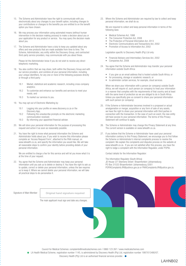- 15. The Scheme and Administrator have the right to communicate with you electronically about any changes to your benefit option, including changes to your contributions or changes to the benefits you are entitled to on the benefit option you have chosen.
- 16. We may process your information using automated means (without human intervention in the decision making process) to make a decision about you or your application for any product or service. You may query the decision made about you.
- 17. The Scheme and Administrator have a duty to keep you updated about any offers and new products that are made available from time to time. The Scheme, Administrator, any entity within the Discovery Group, and contracted third-party service providers, may communicate with you about these.

 Please let the Administrator know if you do not wish to receive any direct telephonic marketing.

- 18. You also confirm that we may share, both within the Discovery Group and with our service providers, and combine all your personal information, including your unique identifiers, for any one or more of the following purposes directly or through a third party:
	- 18.1 Market, statistical and academic research, including cross-company analytics;
	- 18.2 To customise and enhance our benefits and services to meet your needs; and
	- 18.3 To market our services to you.
- 19. You may opt out of Electronic Marketing by:
	- 19.1 Logging into your profile on www.discovery.co.za or the Discovery App:
	- 19.2 Following the unsubscribe prompts on the electronic marketing communication received;
	- 19.3 By informing your appointed financial adviser.
- 20. We will store your personal information for the purpose of processing this request and action it as soon as reasonably possible.
- 21. You have the right to know what personal information the Scheme and Administrator holds about you. If you wish to receive this information please complete an 'Access Request Form', attached to the PAIA manual, on www.lahealth.co.za, and specify the information you would like. We will take all reasonable steps to confirm your identity before providing details of your personal information.

 We are entitled to charge a fee for this service and will let you know what it is at the time of your request.

22. You agree that the Scheme and Administrator may keep your personal information until you ask us to delete or destroy it. You have the right to ask us to update, correct or delete your personal information, unless the law requires us to keep it. Where we cannot delete your personal information, we will take all practical steps to de-personalise it.

23. Where the Scheme and Administrator are required by law to collect and keep personal information, we shall do so.

 We are required to collect and keep personal information in terms of the following laws:

- Medical Schemes Act, 1998
- The Consumer Protection Act, 2008
- The Protection of Personal Information Act, 2013
- Electronic Communications and Transactions Act, 2002
- Promotion of Access to Information Act, 2002

Legislation specific to Discovery Health (Pty) Ltd only:

- Financial Advisory and Intermediary Services Act, 2002 • Companies Act, 2008
- 24. You agree that the Scheme and Administrator may transfer your personal information outside South Africa:
	- if you give us an email address that is hosted outside South Africa; or
	- for processing, storage or academic research, or
	- to administer certain services, for example, cloud services.

 When we share your information with a person (or company) outside South Africa, we will require of, such person (or company) to treat your information in a manner that complies with the requirements of that country and at least with the same level of protection as we are obliged to do in South Africa. Unless you specifically give us consent to share your personal information with such person (or company).

- 25. If the Scheme or Administrator becomes involved in a proposed or actual amalgamation or merger, acquisition or any form of sale of any assets, we have the right to share your personal information with third parties in connection with the transaction. In the case of such an event, the new entity will have access to your personal information. The terms of this Privacy Statement will continue to apply.
- 26. The Scheme or Administrator may change this Privacy Statement at any time. The current version is available on www.lahealth.co.za.
- 27. If you believe that the Scheme or Administrator have used your personal information contrary to this Privacy Statement, we encourage you to first follow the Scheme or Administrator's internal complaints process to resolve the complaint. We explain the complaints and disputes process on the website at www.lahealth.co.za. If you are not satisfied after this process, you have the right to lodge a complaint with the Information Regulator, under POPIA.

Contact details for the Information Regulator:

The Information Regulator (South Africa) JD House |27 Stiemens Street | Braamfontein |Johannesburg PO Box 31533 |Braamfontein |Johannesburg |2001 POPIAComplaints.IR@justince.gov.za or PAIAComplaints.IR@justice.gov.za.

Signature of Main Member | Criginal hand signature required

The main applicant must sign and date any changes.

Council for Medical Schemes: complaints@medicalschemes.com / 0860 123 267 / www.medicalschemes.com

LA Health Medical Scheme, registration number 1145, is administered by Discovery Health (Pty) Ltd, registration number 1997/013480/07.

Discovery Health (Pty) Ltd is an authorised financial services provider.  $\bullet$